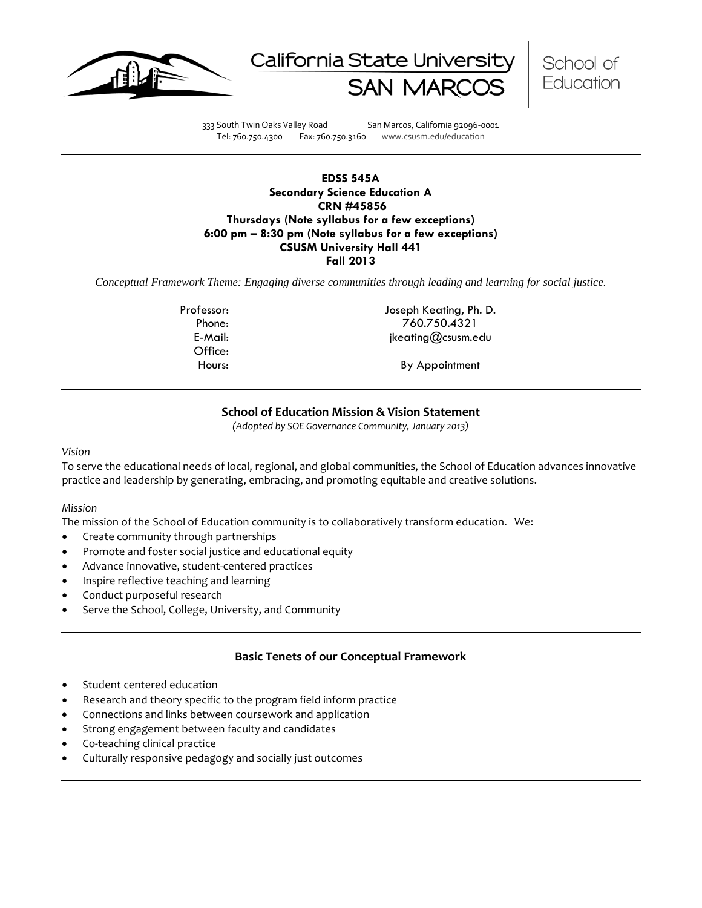





333 South Twin Oaks Valley Road San Marcos, California 92096-0001 Tel: 760.750.4300 Fax: 760.750.3160 www.csusm.edu/education

## **EDSS 545A Secondary Science Education A CRN #45856 Thursdays (Note syllabus for a few exceptions) 6:00 pm – 8:30 pm (Note syllabus for a few exceptions) CSUSM University Hall 441 Fall 2013**

*Conceptual Framework Theme: Engaging diverse communities through leading and learning for social justice.*

Office:

Professor: Joseph Keating, Ph. D. Phone: 760.750.4321 E-Mail: jkeating@csusm.edu

Hours: By Appointment

## **School of Education Mission & Vision Statement**

*(Adopted by SOE Governance Community, January 2013)*

#### *Vision*

To serve the educational needs of local, regional, and global communities, the School of Education advances innovative practice and leadership by generating, embracing, and promoting equitable and creative solutions.

#### *Mission*

The mission of the School of Education community is to collaboratively transform education. We:

- Create community through partnerships
- Promote and foster social justice and educational equity
- Advance innovative, student-centered practices
- Inspire reflective teaching and learning
- Conduct purposeful research
- Serve the School, College, University, and Community

#### **Basic Tenets of our Conceptual Framework**

- Student centered education
- Research and theory specific to the program field inform practice
- Connections and links between coursework and application
- Strong engagement between faculty and candidates
- Co-teaching clinical practice
- Culturally responsive pedagogy and socially just outcomes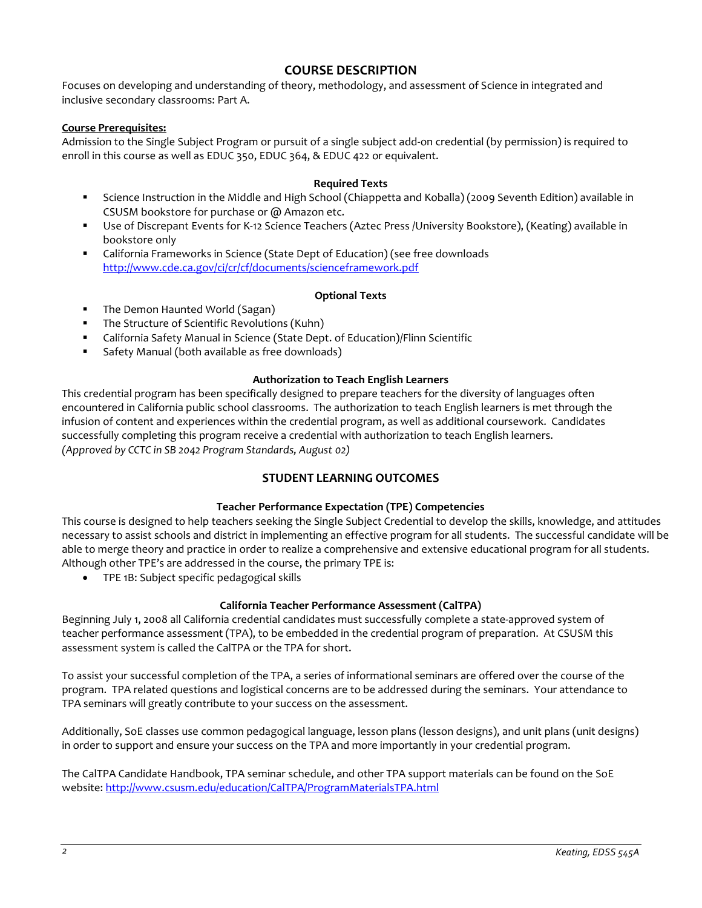# **COURSE DESCRIPTION**

Focuses on developing and understanding of theory, methodology, and assessment of Science in integrated and inclusive secondary classrooms: Part A.

## **Course Prerequisites:**

Admission to the Single Subject Program or pursuit of a single subject add-on credential (by permission) is required to enroll in this course as well as EDUC 350, EDUC 364, & EDUC 422 or equivalent.

## **Required Texts**

- Science Instruction in the Middle and High School (Chiappetta and Koballa) (2009 Seventh Edition) available in CSUSM bookstore for purchase or @ Amazon etc.
- Use of Discrepant Events for K-12 Science Teachers (Aztec Press /University Bookstore), (Keating) available in bookstore only
- California Frameworks in Science (State Dept of Education) (see free downloads <http://www.cde.ca.gov/ci/cr/cf/documents/scienceframework.pdf>

#### **Optional Texts**

- The Demon Haunted World (Sagan)
- **The Structure of Scientific Revolutions (Kuhn)**
- California Safety Manual in Science (State Dept. of Education)/Flinn Scientific
- Safety Manual (both available as free downloads)

## **Authorization to Teach English Learners**

This credential program has been specifically designed to prepare teachers for the diversity of languages often encountered in California public school classrooms. The authorization to teach English learners is met through the infusion of content and experiences within the credential program, as well as additional coursework. Candidates successfully completing this program receive a credential with authorization to teach English learners. *(Approved by CCTC in SB 2042 Program Standards, August 02)*

## **STUDENT LEARNING OUTCOMES**

#### **Teacher Performance Expectation (TPE) Competencies**

This course is designed to help teachers seeking the Single Subject Credential to develop the skills, knowledge, and attitudes necessary to assist schools and district in implementing an effective program for all students. The successful candidate will be able to merge theory and practice in order to realize a comprehensive and extensive educational program for all students. Although other TPE's are addressed in the course, the primary TPE is:

• TPE 1B: Subject specific pedagogical skills

#### **California Teacher Performance Assessment (CalTPA)**

Beginning July 1, 2008 all California credential candidates must successfully complete a state-approved system of teacher performance assessment (TPA), to be embedded in the credential program of preparation. At CSUSM this assessment system is called the CalTPA or the TPA for short.

To assist your successful completion of the TPA, a series of informational seminars are offered over the course of the program. TPA related questions and logistical concerns are to be addressed during the seminars. Your attendance to TPA seminars will greatly contribute to your success on the assessment.

Additionally, SoE classes use common pedagogical language, lesson plans (lesson designs), and unit plans (unit designs) in order to support and ensure your success on the TPA and more importantly in your credential program.

The CalTPA Candidate Handbook, TPA seminar schedule, and other TPA support materials can be found on the SoE website: <http://www.csusm.edu/education/CalTPA/ProgramMaterialsTPA.html>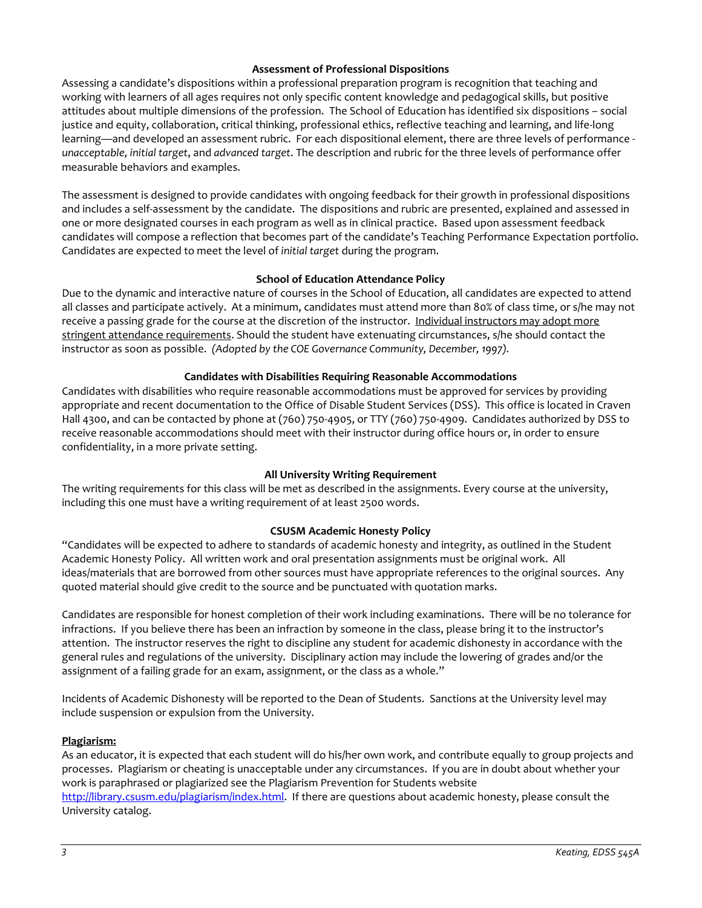#### **Assessment of Professional Dispositions**

Assessing a candidate's dispositions within a professional preparation program is recognition that teaching and working with learners of all ages requires not only specific content knowledge and pedagogical skills, but positive attitudes about multiple dimensions of the profession. The School of Education has identified six dispositions – social justice and equity, collaboration, critical thinking, professional ethics, reflective teaching and learning, and life-long learning—and developed an assessment rubric. For each dispositional element, there are three levels of performance *unacceptable*, *initial target*, and *advanced target*. The description and rubric for the three levels of performance offer measurable behaviors and examples.

The assessment is designed to provide candidates with ongoing feedback for their growth in professional dispositions and includes a self-assessment by the candidate. The dispositions and rubric are presented, explained and assessed in one or more designated courses in each program as well as in clinical practice. Based upon assessment feedback candidates will compose a reflection that becomes part of the candidate's Teaching Performance Expectation portfolio. Candidates are expected to meet the level of *initial target* during the program.

## **School of Education Attendance Policy**

Due to the dynamic and interactive nature of courses in the School of Education, all candidates are expected to attend all classes and participate actively. At a minimum, candidates must attend more than 80% of class time, or s/he may not receive a passing grade for the course at the discretion of the instructor. Individual instructors may adopt more stringent attendance requirements. Should the student have extenuating circumstances, s/he should contact the instructor as soon as possible. *(Adopted by the COE Governance Community, December, 1997).*

#### **Candidates with Disabilities Requiring Reasonable Accommodations**

Candidates with disabilities who require reasonable accommodations must be approved for services by providing appropriate and recent documentation to the Office of Disable Student Services (DSS). This office is located in Craven Hall 4300, and can be contacted by phone at (760) 750-4905, or TTY (760) 750-4909. Candidates authorized by DSS to receive reasonable accommodations should meet with their instructor during office hours or, in order to ensure confidentiality, in a more private setting.

#### **All University Writing Requirement**

The writing requirements for this class will be met as described in the assignments. Every course at the university, including this one must have a writing requirement of at least 2500 words.

## **CSUSM Academic Honesty Policy**

"Candidates will be expected to adhere to standards of academic honesty and integrity, as outlined in the Student Academic Honesty Policy. All written work and oral presentation assignments must be original work. All ideas/materials that are borrowed from other sources must have appropriate references to the original sources. Any quoted material should give credit to the source and be punctuated with quotation marks.

Candidates are responsible for honest completion of their work including examinations. There will be no tolerance for infractions. If you believe there has been an infraction by someone in the class, please bring it to the instructor's attention. The instructor reserves the right to discipline any student for academic dishonesty in accordance with the general rules and regulations of the university. Disciplinary action may include the lowering of grades and/or the assignment of a failing grade for an exam, assignment, or the class as a whole."

Incidents of Academic Dishonesty will be reported to the Dean of Students. Sanctions at the University level may include suspension or expulsion from the University.

#### **Plagiarism:**

As an educator, it is expected that each student will do his/her own work, and contribute equally to group projects and processes. Plagiarism or cheating is unacceptable under any circumstances. If you are in doubt about whether your work is paraphrased or plagiarized see the Plagiarism Prevention for Students website [http://library.csusm.edu/plagiarism/index.html.](http://library.csusm.edu/plagiarism/index.html) If there are questions about academic honesty, please consult the University catalog.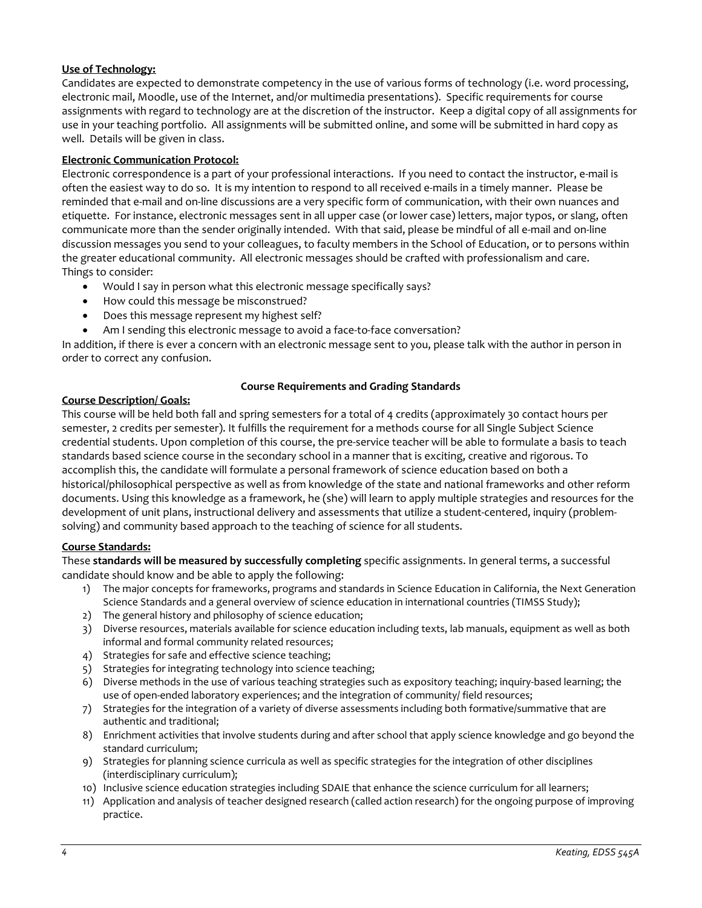## **Use of Technology:**

Candidates are expected to demonstrate competency in the use of various forms of technology (i.e. word processing, electronic mail, Moodle, use of the Internet, and/or multimedia presentations). Specific requirements for course assignments with regard to technology are at the discretion of the instructor. Keep a digital copy of all assignments for use in your teaching portfolio. All assignments will be submitted online, and some will be submitted in hard copy as well. Details will be given in class.

## **Electronic Communication Protocol:**

Electronic correspondence is a part of your professional interactions. If you need to contact the instructor, e-mail is often the easiest way to do so. It is my intention to respond to all received e-mails in a timely manner. Please be reminded that e-mail and on-line discussions are a very specific form of communication, with their own nuances and etiquette. For instance, electronic messages sent in all upper case (or lower case) letters, major typos, or slang, often communicate more than the sender originally intended. With that said, please be mindful of all e-mail and on-line discussion messages you send to your colleagues, to faculty members in the School of Education, or to persons within the greater educational community. All electronic messages should be crafted with professionalism and care. Things to consider:

- Would I say in person what this electronic message specifically says?
- How could this message be misconstrued?
- Does this message represent my highest self?
- Am I sending this electronic message to avoid a face-to-face conversation?

In addition, if there is ever a concern with an electronic message sent to you, please talk with the author in person in order to correct any confusion.

## **Course Description/ Goals:**

#### **Course Requirements and Grading Standards**

This course will be held both fall and spring semesters for a total of 4 credits (approximately 30 contact hours per semester, 2 credits per semester). It fulfills the requirement for a methods course for all Single Subject Science credential students. Upon completion of this course, the pre-service teacher will be able to formulate a basis to teach standards based science course in the secondary school in a manner that is exciting, creative and rigorous. To accomplish this, the candidate will formulate a personal framework of science education based on both a historical/philosophical perspective as well as from knowledge of the state and national frameworks and other reform documents. Using this knowledge as a framework, he (she) will learn to apply multiple strategies and resources for the development of unit plans, instructional delivery and assessments that utilize a student-centered, inquiry (problemsolving) and community based approach to the teaching of science for all students.

#### **Course Standards:**

These **standards will be measured by successfully completing** specific assignments. In general terms, a successful candidate should know and be able to apply the following:

- 1) The major concepts for frameworks, programs and standards in Science Education in California, the Next Generation Science Standards and a general overview of science education in international countries (TIMSS Study);
- 2) The general history and philosophy of science education;
- 3) Diverse resources, materials available for science education including texts, lab manuals, equipment as well as both informal and formal community related resources;
- 4) Strategies for safe and effective science teaching;
- 5) Strategies for integrating technology into science teaching;
- 6) Diverse methods in the use of various teaching strategies such as expository teaching; inquiry-based learning; the use of open-ended laboratory experiences; and the integration of community/ field resources;
- 7) Strategies for the integration of a variety of diverse assessments including both formative/summative that are authentic and traditional;
- 8) Enrichment activities that involve students during and after school that apply science knowledge and go beyond the standard curriculum;
- 9) Strategies for planning science curricula as well as specific strategies for the integration of other disciplines (interdisciplinary curriculum);
- 10) Inclusive science education strategies including SDAIE that enhance the science curriculum for all learners;
- 11) Application and analysis of teacher designed research (called action research) for the ongoing purpose of improving practice.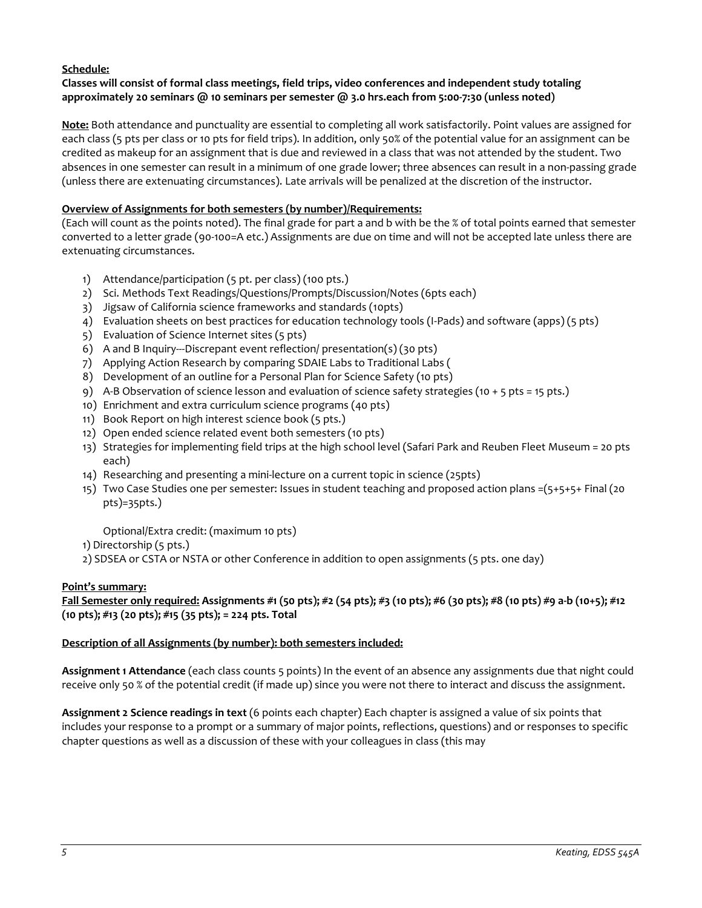## **Schedule:**

## **Classes will consist of formal class meetings, field trips, video conferences and independent study totaling approximately 20 seminars @ 10 seminars per semester @ 3.0 hrs.each from 5:00-7:30 (unless noted)**

**Note:** Both attendance and punctuality are essential to completing all work satisfactorily. Point values are assigned for each class (5 pts per class or 10 pts for field trips). In addition, only 50% of the potential value for an assignment can be credited as makeup for an assignment that is due and reviewed in a class that was not attended by the student. Two absences in one semester can result in a minimum of one grade lower; three absences can result in a non-passing grade (unless there are extenuating circumstances). Late arrivals will be penalized at the discretion of the instructor.

## **Overview of Assignments for both semesters (by number)/Requirements:**

(Each will count as the points noted). The final grade for part a and b with be the % of total points earned that semester converted to a letter grade (90-100=A etc.) Assignments are due on time and will not be accepted late unless there are extenuating circumstances.

- 1) Attendance/participation (5 pt. per class) (100 pts.)
- 2) Sci. Methods Text Readings/Questions/Prompts/Discussion/Notes (6pts each)
- 3) Jigsaw of California science frameworks and standards (10pts)
- 4) Evaluation sheets on best practices for education technology tools (I-Pads) and software (apps) (5 pts)
- 5) Evaluation of Science Internet sites (5 pts)
- 6) A and B Inquiry---Discrepant event reflection/ presentation(s) (30 pts)
- 7) Applying Action Research by comparing SDAIE Labs to Traditional Labs (
- 8) Development of an outline for a Personal Plan for Science Safety (10 pts)
- 9) A-B Observation of science lesson and evaluation of science safety strategies (10 + 5 pts = 15 pts.)
- 10) Enrichment and extra curriculum science programs (40 pts)
- 11) Book Report on high interest science book (5 pts.)
- 12) Open ended science related event both semesters (10 pts)
- 13) Strategies for implementing field trips at the high school level (Safari Park and Reuben Fleet Museum = 20 pts each)
- 14) Researching and presenting a mini-lecture on a current topic in science (25pts)
- 15) Two Case Studies one per semester: Issues in student teaching and proposed action plans =(5+5+5+ Final (20 pts)=35pts.)

Optional/Extra credit: (maximum 10 pts)

- 1) Directorship (5 pts.)
- 2) SDSEA or CSTA or NSTA or other Conference in addition to open assignments (5 pts. one day)

## **Point's summary:**

```
Fall Semester only required: Assignments #1 (50 pts); #2 (54 pts); #3 (10 pts); #6 (30 pts); #8 (10 pts) #9 a-b (10+5); #12 
(10 pts); #13 (20 pts); #15 (35 pts); = 224 pts. Total
```
## **Description of all Assignments (by number): both semesters included:**

**Assignment 1 Attendance** (each class counts 5 points) In the event of an absence any assignments due that night could receive only 50 % of the potential credit (if made up) since you were not there to interact and discuss the assignment.

**Assignment 2 Science readings in text** (6 points each chapter) Each chapter is assigned a value of six points that includes your response to a prompt or a summary of major points, reflections, questions) and or responses to specific chapter questions as well as a discussion of these with your colleagues in class (this may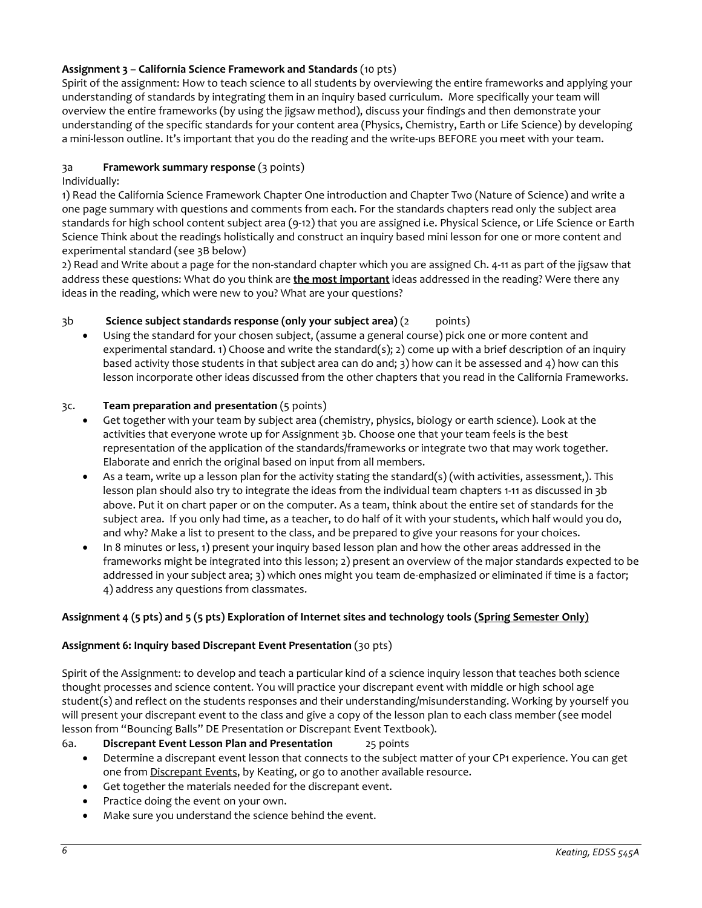# **Assignment 3 – California Science Framework and Standards** (10 pts)

Spirit of the assignment: How to teach science to all students by overviewing the entire frameworks and applying your understanding of standards by integrating them in an inquiry based curriculum. More specifically your team will overview the entire frameworks (by using the jigsaw method), discuss your findings and then demonstrate your understanding of the specific standards for your content area (Physics, Chemistry, Earth or Life Science) by developing a mini-lesson outline. It's important that you do the reading and the write-ups BEFORE you meet with your team.

## 3a **Framework summary response** (3 points)

Individually:

1) Read the California Science Framework Chapter One introduction and Chapter Two (Nature of Science) and write a one page summary with questions and comments from each. For the standards chapters read only the subject area standards for high school content subject area (9-12) that you are assigned i.e. Physical Science, or Life Science or Earth Science Think about the readings holistically and construct an inquiry based mini lesson for one or more content and experimental standard (see 3B below)

2) Read and Write about a page for the non-standard chapter which you are assigned Ch. 4-11 as part of the jigsaw that address these questions: What do you think are **the most important** ideas addressed in the reading? Were there any ideas in the reading, which were new to you? What are your questions?

## 3b **Science subject standards response (only your subject area)** (2 points)

• Using the standard for your chosen subject, (assume a general course) pick one or more content and experimental standard. 1) Choose and write the standard(s); 2) come up with a brief description of an inquiry based activity those students in that subject area can do and; 3) how can it be assessed and 4) how can this lesson incorporate other ideas discussed from the other chapters that you read in the California Frameworks.

#### 3c. **Team preparation and presentation** (5 points)

- Get together with your team by subject area (chemistry, physics, biology or earth science). Look at the activities that everyone wrote up for Assignment 3b. Choose one that your team feels is the best representation of the application of the standards/frameworks or integrate two that may work together. Elaborate and enrich the original based on input from all members.
- As a team, write up a lesson plan for the activity stating the standard(s) (with activities, assessment,). This lesson plan should also try to integrate the ideas from the individual team chapters 1-11 as discussed in 3b above. Put it on chart paper or on the computer. As a team, think about the entire set of standards for the subject area. If you only had time, as a teacher, to do half of it with your students, which half would you do, and why? Make a list to present to the class, and be prepared to give your reasons for your choices.
- In 8 minutes or less, 1) present your inquiry based lesson plan and how the other areas addressed in the frameworks might be integrated into this lesson; 2) present an overview of the major standards expected to be addressed in your subject area; 3) which ones might you team de-emphasized or eliminated if time is a factor; 4) address any questions from classmates.

#### **Assignment 4 (5 pts) and 5 (5 pts) Exploration of Internet sites and technology tools (Spring Semester Only)**

#### **Assignment 6: Inquiry based Discrepant Event Presentation** (30 pts)

Spirit of the Assignment: to develop and teach a particular kind of a science inquiry lesson that teaches both science thought processes and science content. You will practice your discrepant event with middle or high school age student(s) and reflect on the students responses and their understanding/misunderstanding. Working by yourself you will present your discrepant event to the class and give a copy of the lesson plan to each class member (see model lesson from "Bouncing Balls" DE Presentation or Discrepant Event Textbook).

#### 6a. **Discrepant Event Lesson Plan and Presentation** 25 points

- Determine a discrepant event lesson that connects to the subject matter of your CP1 experience. You can get one from Discrepant Events, by Keating, or go to another available resource.
- Get together the materials needed for the discrepant event.
- Practice doing the event on your own.
- Make sure you understand the science behind the event.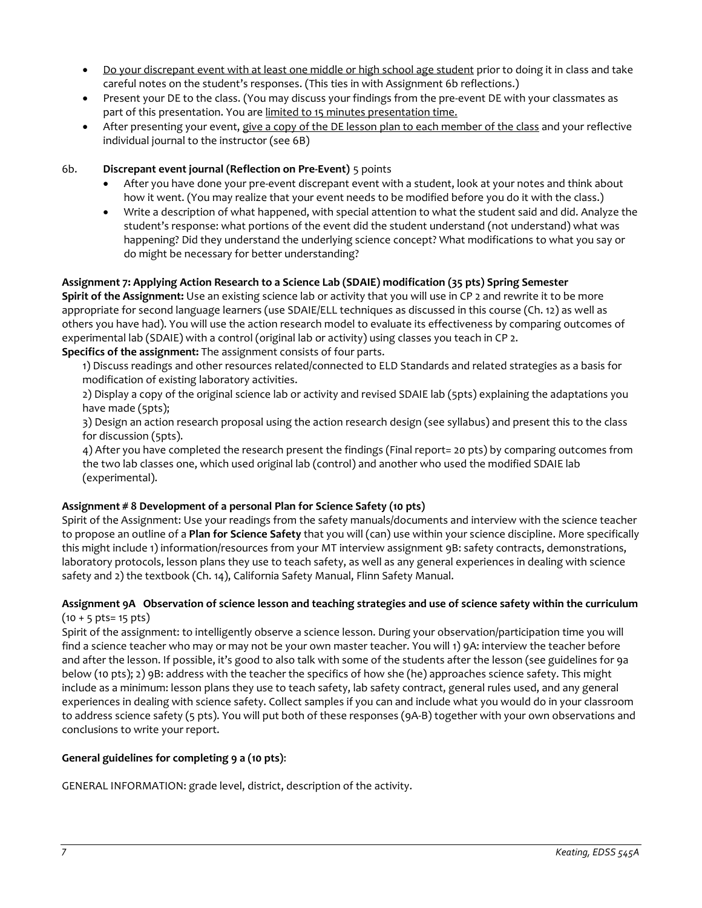- Do your discrepant event with at least one middle or high school age student prior to doing it in class and take careful notes on the student's responses. (This ties in with Assignment 6b reflections.)
- Present your DE to the class. (You may discuss your findings from the pre-event DE with your classmates as part of this presentation. You are limited to 15 minutes presentation time.
- After presenting your event, give a copy of the DE lesson plan to each member of the class and your reflective individual journal to the instructor (see 6B)

## 6b. **Discrepant event journal (Reflection on Pre-Event)** 5 points

- After you have done your pre-event discrepant event with a student, look at your notes and think about how it went. (You may realize that your event needs to be modified before you do it with the class.)
- Write a description of what happened, with special attention to what the student said and did. Analyze the student's response: what portions of the event did the student understand (not understand) what was happening? Did they understand the underlying science concept? What modifications to what you say or do might be necessary for better understanding?

## **Assignment 7: Applying Action Research to a Science Lab (SDAIE) modification (35 pts) Spring Semester**

**Spirit of the Assignment:** Use an existing science lab or activity that you will use in CP 2 and rewrite it to be more appropriate for second language learners (use SDAIE/ELL techniques as discussed in this course (Ch. 12) as well as others you have had). You will use the action research model to evaluate its effectiveness by comparing outcomes of experimental lab (SDAIE) with a control (original lab or activity) using classes you teach in CP 2.

## **Specifics of the assignment:** The assignment consists of four parts.

1) Discuss readings and other resources related/connected to ELD Standards and related strategies as a basis for modification of existing laboratory activities.

2) Display a copy of the original science lab or activity and revised SDAIE lab (5pts) explaining the adaptations you have made (5pts);

3) Design an action research proposal using the action research design (see syllabus) and present this to the class for discussion (5pts).

4) After you have completed the research present the findings (Final report= 20 pts) by comparing outcomes from the two lab classes one, which used original lab (control) and another who used the modified SDAIE lab (experimental).

#### **Assignment # 8 Development of a personal Plan for Science Safety (10 pts)**

Spirit of the Assignment: Use your readings from the safety manuals/documents and interview with the science teacher to propose an outline of a **Plan for Science Safety** that you will (can) use within your science discipline. More specifically this might include 1) information/resources from your MT interview assignment 9B: safety contracts, demonstrations, laboratory protocols, lesson plans they use to teach safety, as well as any general experiences in dealing with science safety and 2) the textbook (Ch. 14), California Safety Manual, Flinn Safety Manual.

## **Assignment 9A Observation of science lesson and teaching strategies and use of science safety within the curriculum**  $(10 + 5 \text{ pts} = 15 \text{ pts})$

Spirit of the assignment: to intelligently observe a science lesson. During your observation/participation time you will find a science teacher who may or may not be your own master teacher. You will 1) 9A: interview the teacher before and after the lesson. If possible, it's good to also talk with some of the students after the lesson (see guidelines for 9a below (10 pts); 2) 9B: address with the teacher the specifics of how she (he) approaches science safety. This might include as a minimum: lesson plans they use to teach safety, lab safety contract, general rules used, and any general experiences in dealing with science safety. Collect samples if you can and include what you would do in your classroom to address science safety (5 pts). You will put both of these responses (9A-B) together with your own observations and conclusions to write your report.

## **General guidelines for completing 9 a (10 pts)**:

GENERAL INFORMATION: grade level, district, description of the activity.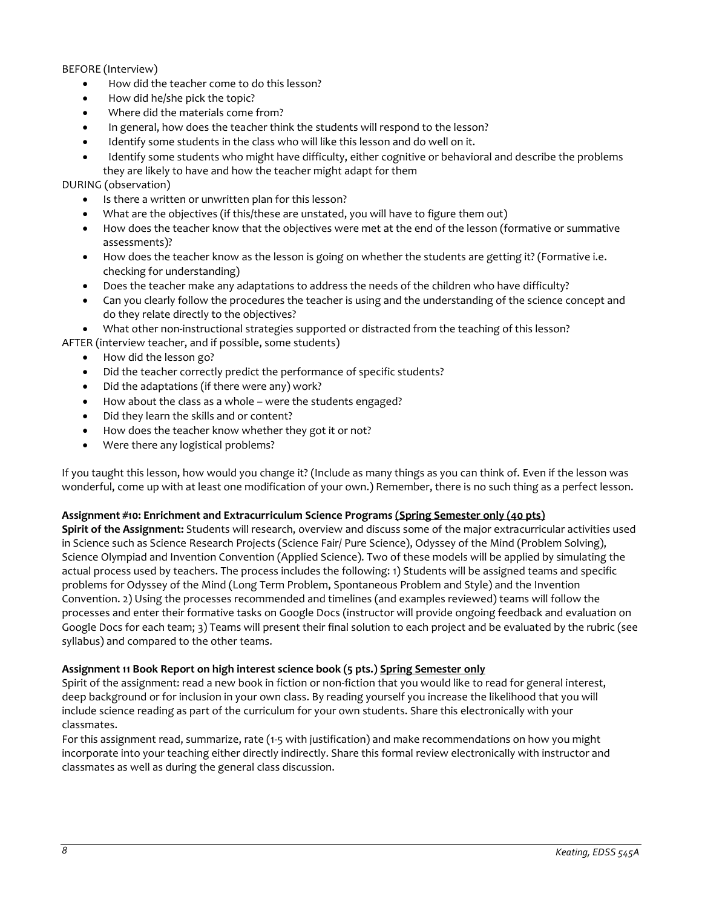## BEFORE (Interview)

- How did the teacher come to do this lesson?
- How did he/she pick the topic?
- Where did the materials come from?
- In general, how does the teacher think the students will respond to the lesson?
- Identify some students in the class who will like this lesson and do well on it.
- Identify some students who might have difficulty, either cognitive or behavioral and describe the problems they are likely to have and how the teacher might adapt for them

## DURING (observation)

- Is there a written or unwritten plan for this lesson?
- What are the objectives (if this/these are unstated, you will have to figure them out)
- How does the teacher know that the objectives were met at the end of the lesson (formative or summative assessments)?
- How does the teacher know as the lesson is going on whether the students are getting it? (Formative i.e. checking for understanding)
- Does the teacher make any adaptations to address the needs of the children who have difficulty?
- Can you clearly follow the procedures the teacher is using and the understanding of the science concept and do they relate directly to the objectives?

• What other non-instructional strategies supported or distracted from the teaching of this lesson?

AFTER (interview teacher, and if possible, some students)

- How did the lesson go?
- Did the teacher correctly predict the performance of specific students?
- Did the adaptations (if there were any) work?
- How about the class as a whole were the students engaged?
- Did they learn the skills and or content?
- How does the teacher know whether they got it or not?
- Were there any logistical problems?

If you taught this lesson, how would you change it? (Include as many things as you can think of. Even if the lesson was wonderful, come up with at least one modification of your own.) Remember, there is no such thing as a perfect lesson.

#### **Assignment #10: Enrichment and Extracurriculum Science Programs (Spring Semester only (40 pts)**

**Spirit of the Assignment:** Students will research, overview and discuss some of the major extracurricular activities used in Science such as Science Research Projects (Science Fair/ Pure Science), Odyssey of the Mind (Problem Solving), Science Olympiad and Invention Convention (Applied Science). Two of these models will be applied by simulating the actual process used by teachers. The process includes the following: 1) Students will be assigned teams and specific problems for Odyssey of the Mind (Long Term Problem, Spontaneous Problem and Style) and the Invention Convention. 2) Using the processes recommended and timelines (and examples reviewed) teams will follow the processes and enter their formative tasks on Google Docs (instructor will provide ongoing feedback and evaluation on Google Docs for each team; 3) Teams will present their final solution to each project and be evaluated by the rubric (see syllabus) and compared to the other teams.

#### **Assignment 11 Book Report on high interest science book (5 pts.) Spring Semester only**

Spirit of the assignment: read a new book in fiction or non-fiction that you would like to read for general interest, deep background or for inclusion in your own class. By reading yourself you increase the likelihood that you will include science reading as part of the curriculum for your own students. Share this electronically with your classmates.

For this assignment read, summarize, rate (1-5 with justification) and make recommendations on how you might incorporate into your teaching either directly indirectly. Share this formal review electronically with instructor and classmates as well as during the general class discussion.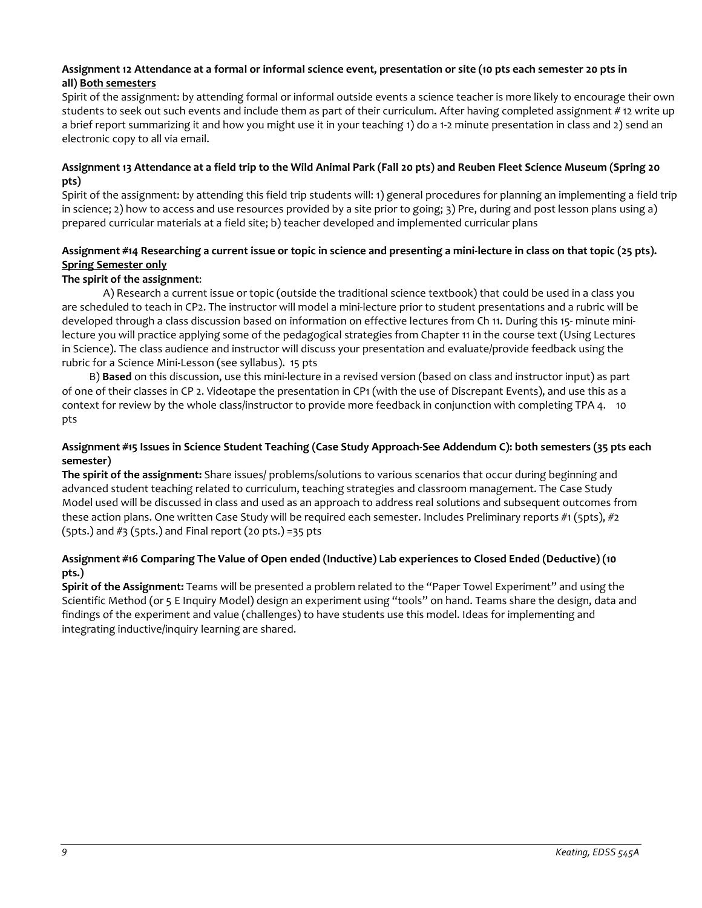## **Assignment 12 Attendance at a formal or informal science event, presentation or site (10 pts each semester 20 pts in all) Both semesters**

Spirit of the assignment: by attending formal or informal outside events a science teacher is more likely to encourage their own students to seek out such events and include them as part of their curriculum. After having completed assignment #12 write up a brief report summarizing it and how you might use it in your teaching 1) do a 1-2 minute presentation in class and 2) send an electronic copy to all via email.

## **Assignment 13 Attendance at a field trip to the Wild Animal Park (Fall 20 pts) and Reuben Fleet Science Museum (Spring 20 pts)**

Spirit of the assignment: by attending this field trip students will: 1) general procedures for planning an implementing a field trip in science; 2) how to access and use resources provided by a site prior to going; 3) Pre, during and post lesson plans using a) prepared curricular materials at a field site; b) teacher developed and implemented curricular plans

## **Assignment #14 Researching a current issue or topic in science and presenting a mini-lecture in class on that topic (25 pts). Spring Semester only**

## **The spirit of the assignment**:

A) Research a current issue or topic (outside the traditional science textbook) that could be used in a class you are scheduled to teach in CP2. The instructor will model a mini-lecture prior to student presentations and a rubric will be developed through a class discussion based on information on effective lectures from Ch 11. During this 15- minute minilecture you will practice applying some of the pedagogical strategies from Chapter 11 in the course text (Using Lectures in Science). The class audience and instructor will discuss your presentation and evaluate/provide feedback using the rubric for a Science Mini-Lesson (see syllabus). 15 pts

 B) **Based** on this discussion, use this mini-lecture in a revised version (based on class and instructor input) as part of one of their classes in CP 2. Videotape the presentation in CP1 (with the use of Discrepant Events), and use this as a context for review by the whole class/instructor to provide more feedback in conjunction with completing TPA 4. 10 pts

## **Assignment #15 Issues in Science Student Teaching (Case Study Approach-See Addendum C): both semesters (35 pts each semester)**

**The spirit of the assignment:** Share issues/ problems/solutions to various scenarios that occur during beginning and advanced student teaching related to curriculum, teaching strategies and classroom management. The Case Study Model used will be discussed in class and used as an approach to address real solutions and subsequent outcomes from these action plans. One written Case Study will be required each semester. Includes Preliminary reports #1 (5pts), #2  $(5pts.)$  and  $#3$  ( $5pts.)$  and Final report ( $20 pts.)$  =35 pts

## **Assignment #16 Comparing The Value of Open ended (Inductive) Lab experiences to Closed Ended (Deductive) (10 pts.)**

**Spirit of the Assignment:** Teams will be presented a problem related to the "Paper Towel Experiment" and using the Scientific Method (or 5 E Inquiry Model) design an experiment using "tools" on hand. Teams share the design, data and findings of the experiment and value (challenges) to have students use this model. Ideas for implementing and integrating inductive/inquiry learning are shared.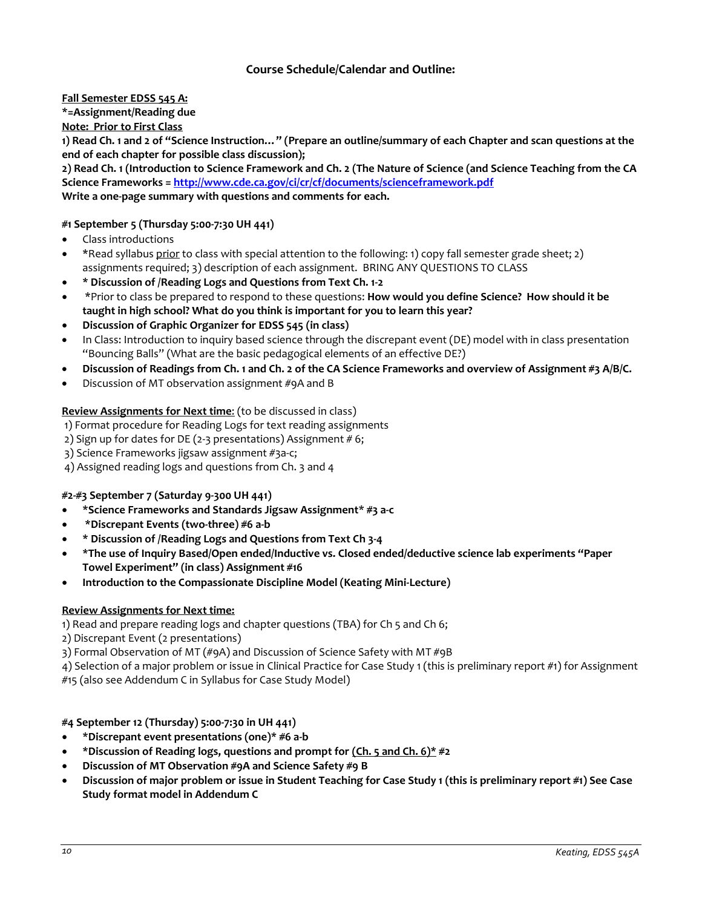# **Course Schedule/Calendar and Outline:**

**Fall Semester EDSS 545 A:** 

**\*=Assignment/Reading due** 

**Note: Prior to First Class** 

**1) Read Ch. 1 and 2 of "Science Instruction…" (Prepare an outline/summary of each Chapter and scan questions at the end of each chapter for possible class discussion);** 

**2) Read Ch. 1 (Introduction to Science Framework and Ch. 2 (The Nature of Science (and Science Teaching from the CA Science Frameworks = <http://www.cde.ca.gov/ci/cr/cf/documents/scienceframework.pdf>**

**Write a one-page summary with questions and comments for each.**

## **#1 September 5 (Thursday 5:00-7:30 UH 441)**

- Class introductions
- \*Read syllabus prior to class with special attention to the following: 1) copy fall semester grade sheet; 2) assignments required; 3) description of each assignment. BRING ANY QUESTIONS TO CLASS
- **\* Discussion of /Reading Logs and Questions from Text Ch. 1-2**
- \*Prior to class be prepared to respond to these questions: **How would you define Science? How should it be taught in high school? What do you think is important for you to learn this year?**
- **Discussion of Graphic Organizer for EDSS 545 (in class)**
- In Class: Introduction to inquiry based science through the discrepant event (DE) model with in class presentation "Bouncing Balls" (What are the basic pedagogical elements of an effective DE?)
- **Discussion of Readings from Ch. 1 and Ch. 2 of the CA Science Frameworks and overview of Assignment #3 A/B/C.**
- Discussion of MT observation assignment #9A and B

#### **Review Assignments for Next time**: (to be discussed in class)

1) Format procedure for Reading Logs for text reading assignments

- 2) Sign up for dates for DE (2-3 presentations) Assignment #6;
- 3) Science Frameworks jigsaw assignment #3a-c;
- 4) Assigned reading logs and questions from Ch. 3 and 4

#### **#2-#3 September 7 (Saturday 9-300 UH 441)**

- **\*Science Frameworks and Standards Jigsaw Assignment**\* **#3 a-c**
- **\*Discrepant Events (two-three) #6 a-b**
- **\* Discussion of /Reading Logs and Questions from Text Ch 3-4**
- **\*The use of Inquiry Based/Open ended/Inductive vs. Closed ended/deductive science lab experiments "Paper Towel Experiment" (in class) Assignment #16**
- **Introduction to the Compassionate Discipline Model (Keating Mini-Lecture)**

#### **Review Assignments for Next time:**

- 1) Read and prepare reading logs and chapter questions (TBA) for Ch 5 and Ch 6;
- 2) Discrepant Event (2 presentations)
- 3) Formal Observation of MT (#9A) and Discussion of Science Safety with MT #9B
- 4) Selection of a major problem or issue in Clinical Practice for Case Study 1 (this is preliminary report #1) for Assignment
- #15 (also see Addendum C in Syllabus for Case Study Model)

## **#4 September 12 (Thursday) 5:00-7:30 in UH 441)**

- **\*Discrepant event presentations (one)\* #6 a-b**
- **\*Discussion of Reading logs, questions and prompt for (Ch. 5 and Ch. 6)\* #2**
- **Discussion of MT Observation #9A and Science Safety #9 B**
- **Discussion of major problem or issue in Student Teaching for Case Study 1 (this is preliminary report #1) See Case Study format model in Addendum C**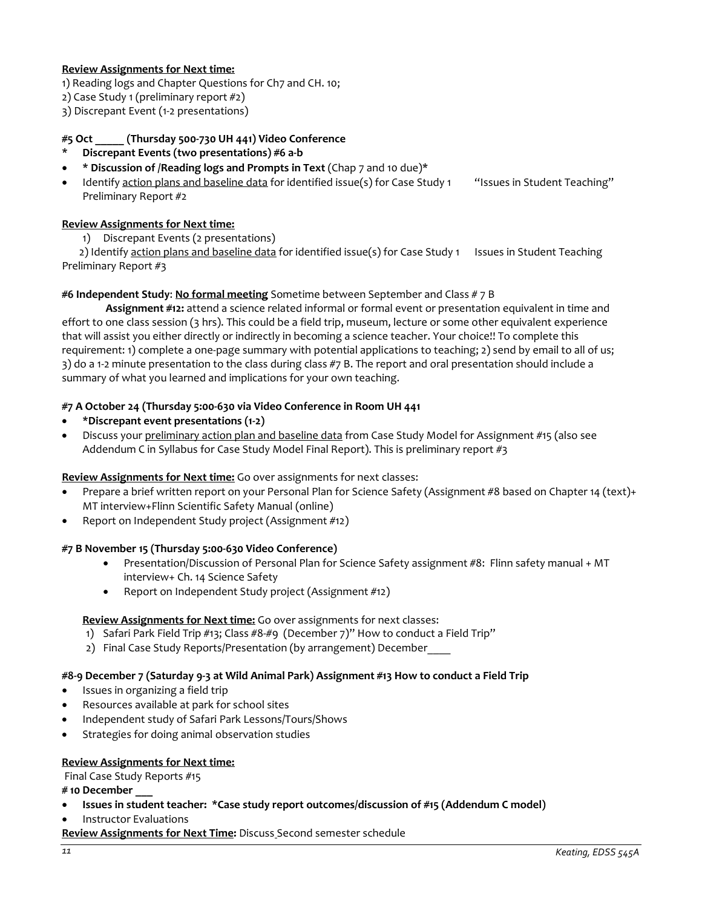## **Review Assignments for Next time:**

- 1) Reading logs and Chapter Questions for Ch7 and CH. 10;
- 2) Case Study 1 (preliminary report #2)
- 3) Discrepant Event (1-2 presentations)

## **#5 Oct \_\_\_\_\_ (Thursday 500-730 UH 441) Video Conference**

- **\* Discrepant Events (two presentations) #6 a-b**
- **\* Discussion of /Reading logs and Prompts in Text** (Chap 7 and 10 due)\*

Identify action plans and baseline data for identified issue(s) for Case Study 1 "Issues in Student Teaching" Preliminary Report #2

## **Review Assignments for Next time:**

1) Discrepant Events (2 presentations)

2) Identify action plans and baseline data for identified issue(s) for Case Study 1 Issues in Student Teaching Preliminary Report #3

#### **#6 Independent Study**: **No formal meeting** Sometime between September and Class # 7 B

**Assignment #12:** attend a science related informal or formal event or presentation equivalent in time and effort to one class session (3 hrs). This could be a field trip, museum, lecture or some other equivalent experience that will assist you either directly or indirectly in becoming a science teacher. Your choice!! To complete this requirement: 1) complete a one-page summary with potential applications to teaching; 2) send by email to all of us; 3) do a 1-2 minute presentation to the class during class #7 B. The report and oral presentation should include a summary of what you learned and implications for your own teaching.

#### **#7 A October 24 (Thursday 5:00-630 via Video Conference in Room UH 441**

- **\*Discrepant event presentations (1-2)**
- Discuss your preliminary action plan and baseline data from Case Study Model for Assignment #15 (also see Addendum C in Syllabus for Case Study Model Final Report). This is preliminary report  $\#3$

#### **Review Assignments for Next time:** Go over assignments for next classes:

- Prepare a brief written report on your Personal Plan for Science Safety (Assignment #8 based on Chapter 14 (text)+ MT interview+Flinn Scientific Safety Manual (online)
- Report on Independent Study project (Assignment #12)

#### **#7 B November 15 (Thursday 5:00-630 Video Conference)**

- Presentation/Discussion of Personal Plan for Science Safety assignment #8: Flinn safety manual + MT interview+ Ch. 14 Science Safety
- Report on Independent Study project (Assignment #12)

#### **Review Assignments for Next time:** Go over assignments for next classes:

- 1) Safari Park Field Trip #13; Class #8-#9 (December 7)" How to conduct a Field Trip"
- 2) Final Case Study Reports/Presentation (by arrangement) December

#### **#8-9 December 7 (Saturday 9-3 at Wild Animal Park) Assignment #13 How to conduct a Field Trip**

- Issues in organizing a field trip
- Resources available at park for school sites
- Independent study of Safari Park Lessons/Tours/Shows
- Strategies for doing animal observation studies

#### **Review Assignments for Next time:**

Final Case Study Reports #15

**# 10 December \_\_\_**

- **Issues in student teacher: \*Case study report outcomes/discussion of #15 (Addendum C model)**
- Instructor Evaluations

**Review Assignments for Next Time:** Discuss Second semester schedule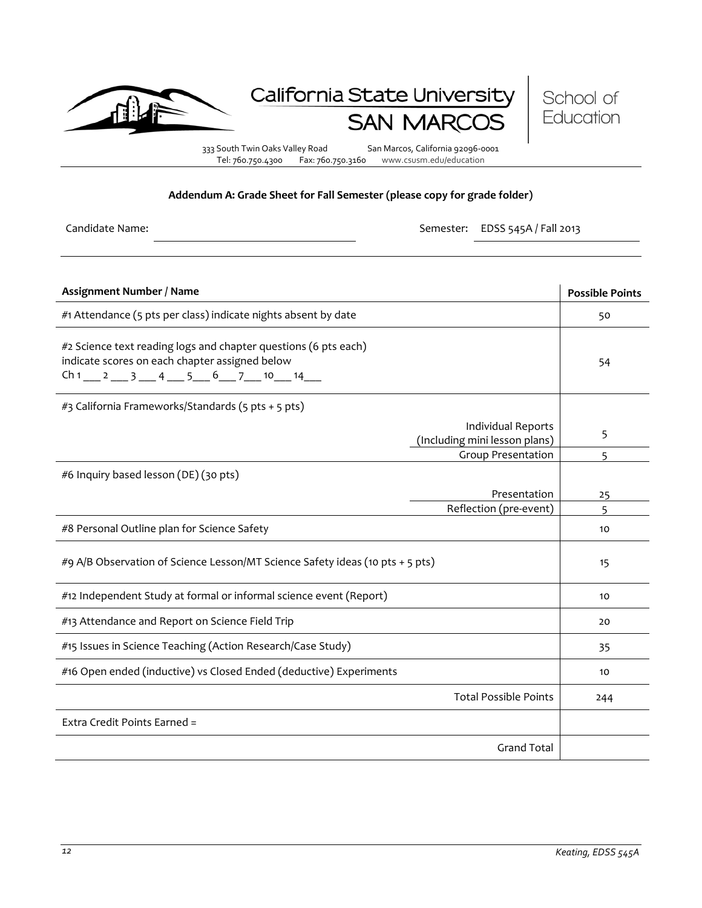

# California State University **SAN MAR**



333 South Twin Oaks Valley Road San Marcos, California 92096-0001 Tel: 760.750.4300 Fax: 760.750.3160 www.csusm.edu/education

#### **Addendum A: Grade Sheet for Fall Semester (please copy for grade folder)**

Candidate Name: Semester: EDSS 545A / Fall 2013

| Assignment Number / Name                                                                                                                                             |                                                                                  | <b>Possible Points</b> |
|----------------------------------------------------------------------------------------------------------------------------------------------------------------------|----------------------------------------------------------------------------------|------------------------|
| #1 Attendance (5 pts per class) indicate nights absent by date                                                                                                       |                                                                                  | 50                     |
| #2 Science text reading logs and chapter questions (6 pts each)<br>indicate scores on each chapter assigned below<br>$Ch1 \_ 2 \_ 3 \_ 4 \_ 5 \_ 6 \_ 7 \_ 10 \_ 14$ |                                                                                  | 54                     |
| #3 California Frameworks/Standards (5 pts + 5 pts)                                                                                                                   |                                                                                  |                        |
|                                                                                                                                                                      | Individual Reports<br>(Including mini lesson plans)<br><b>Group Presentation</b> | 5                      |
| #6 Inquiry based lesson (DE) (30 pts)                                                                                                                                |                                                                                  | 5                      |
|                                                                                                                                                                      | Presentation                                                                     | 25                     |
|                                                                                                                                                                      | Reflection (pre-event)                                                           | 5                      |
| #8 Personal Outline plan for Science Safety                                                                                                                          |                                                                                  | 10                     |
| #9 A/B Observation of Science Lesson/MT Science Safety ideas (10 pts + 5 pts)                                                                                        |                                                                                  | 15                     |
| #12 Independent Study at formal or informal science event (Report)                                                                                                   |                                                                                  | 10                     |
| #13 Attendance and Report on Science Field Trip                                                                                                                      |                                                                                  | 20                     |
| #15 Issues in Science Teaching (Action Research/Case Study)                                                                                                          |                                                                                  | 35                     |
| #16 Open ended (inductive) vs Closed Ended (deductive) Experiments                                                                                                   |                                                                                  | 10                     |
|                                                                                                                                                                      | <b>Total Possible Points</b>                                                     | 244                    |
| Extra Credit Points Earned =                                                                                                                                         |                                                                                  |                        |
|                                                                                                                                                                      | <b>Grand Total</b>                                                               |                        |